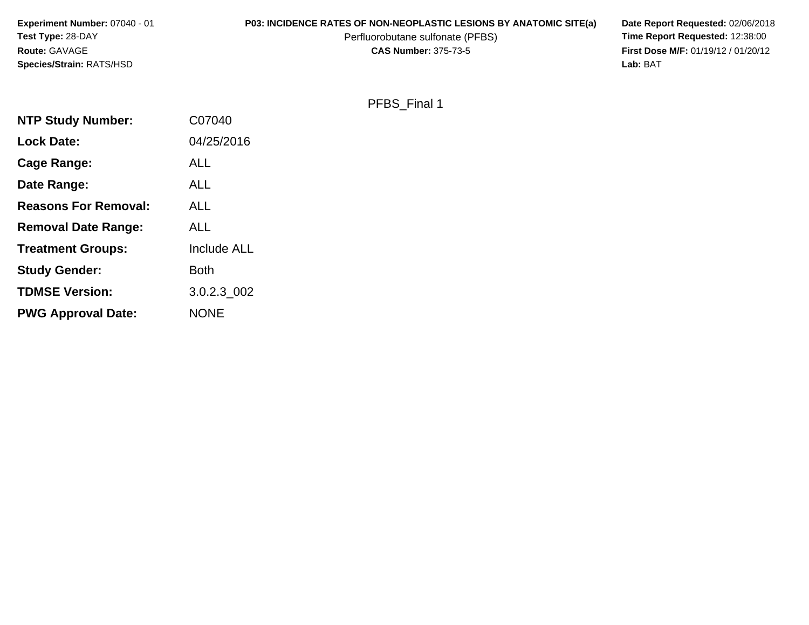| <b>Experiment Number: 07040 - 01</b> | <b>P03: INCIDENCE RATES OF NON-NEOPLASTIC LESIONS BY ANATOMIC SITE(a)</b> | Date Report Requested: 02/06/2018          |
|--------------------------------------|---------------------------------------------------------------------------|--------------------------------------------|
| <b>Test Type: 28-DAY</b>             | Perfluorobutane sulfonate (PFBS)                                          | <b>Time Report Requested: 12:38:00</b>     |
| <b>Route: GAVAGE</b>                 | <b>CAS Number: 375-73-5</b>                                               | <b>First Dose M/F: 01/19/12 / 01/20/12</b> |
| <b>Species/Strain: RATS/HSD</b>      |                                                                           | Lab: BAT                                   |

| PFBS Final 1 |
|--------------|
|--------------|

| <b>NTP Study Number:</b>    | C07040             |
|-----------------------------|--------------------|
| <b>Lock Date:</b>           | 04/25/2016         |
| Cage Range:                 | ALL                |
| Date Range:                 | ALL                |
| <b>Reasons For Removal:</b> | ALL                |
| <b>Removal Date Range:</b>  | ALL                |
| <b>Treatment Groups:</b>    | <b>Include ALL</b> |
| <b>Study Gender:</b>        | <b>Both</b>        |
| <b>TDMSE Version:</b>       | 3.0.2.3 002        |
| <b>PWG Approval Date:</b>   | <b>NONE</b>        |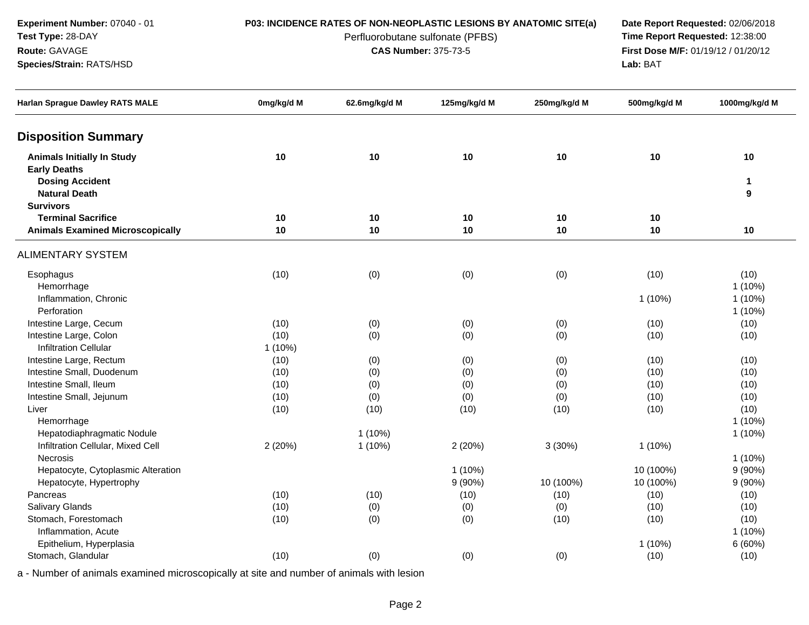**Experiment Number:** 07040 - 01**Test Type:** 28-DAY

### **Route:** GAVAGE

**Species/Strain:** RATS/HSD

Perfluorobutane sulfonate (PFBS)<br>**CAS Number:** 375-73-5

**P03: INCIDENCE RATES OF NON-NEOPLASTIC LESIONS BY ANATOMIC SITE(a) Date Report Requested: 02/06/2018**<br>Perfluorobutane sulfonate (PFBS) **Time Report Requested: 12:38:00 First Dose M/F:** 01/19/12 / 01/20/12<br>**Lab:** BAT **Lab:** BAT

| <b>Harlan Sprague Dawley RATS MALE</b>                   | 0mg/kg/d M | 62.6mg/kg/d M | 125mg/kg/d M | 250mg/kg/d M | 500mg/kg/d M | 1000mg/kg/d M     |
|----------------------------------------------------------|------------|---------------|--------------|--------------|--------------|-------------------|
| <b>Disposition Summary</b>                               |            |               |              |              |              |                   |
| <b>Animals Initially In Study</b><br><b>Early Deaths</b> | 10         | 10            | 10           | 10           | 10           | 10                |
| <b>Dosing Accident</b><br><b>Natural Death</b>           |            |               |              |              |              | $\mathbf{1}$<br>9 |
| <b>Survivors</b>                                         |            |               |              |              |              |                   |
| <b>Terminal Sacrifice</b>                                | 10         | 10            | 10           | 10           | 10           |                   |
| <b>Animals Examined Microscopically</b>                  | 10         | 10            | 10           | 10           | 10           | 10                |
| <b>ALIMENTARY SYSTEM</b>                                 |            |               |              |              |              |                   |
| Esophagus<br>Hemorrhage                                  | (10)       | (0)           | (0)          | (0)          | (10)         | (10)<br>$1(10\%)$ |
| Inflammation, Chronic                                    |            |               |              |              | 1 (10%)      | $1(10\%)$         |
| Perforation                                              |            |               |              |              |              | $1(10\%)$         |
| Intestine Large, Cecum                                   | (10)       | (0)           | (0)          | (0)          | (10)         | (10)              |
| Intestine Large, Colon                                   | (10)       | (0)           | (0)          | (0)          | (10)         | (10)              |
| <b>Infiltration Cellular</b>                             | 1 (10%)    |               |              |              |              |                   |
| Intestine Large, Rectum                                  | (10)       | (0)           | (0)          | (0)          | (10)         | (10)              |
| Intestine Small, Duodenum                                | (10)       | (0)           | (0)          | (0)          | (10)         | (10)              |
| Intestine Small, Ileum                                   | (10)       | (0)           | (0)          | (0)          | (10)         | (10)              |
| Intestine Small, Jejunum                                 | (10)       | (0)           | (0)          | (0)          | (10)         | (10)              |
| Liver                                                    | (10)       | (10)          | (10)         | (10)         | (10)         | (10)              |
| Hemorrhage                                               |            |               |              |              |              | $1(10\%)$         |
| Hepatodiaphragmatic Nodule                               |            | $1(10\%)$     |              |              |              | $1(10\%)$         |
| Infiltration Cellular, Mixed Cell                        | 2(20%)     | 1(10%)        | 2 (20%)      | 3(30%)       | $1(10\%)$    |                   |
| Necrosis                                                 |            |               |              |              |              | $1(10\%)$         |
| Hepatocyte, Cytoplasmic Alteration                       |            |               | 1(10%)       |              | 10 (100%)    | 9(90%)            |
| Hepatocyte, Hypertrophy                                  |            |               | 9(90%)       | 10 (100%)    | 10 (100%)    | 9(90%)            |
| Pancreas                                                 | (10)       | (10)          | (10)         | (10)         | (10)         | (10)              |
| Salivary Glands                                          | (10)       | (0)           | (0)          | (0)          | (10)         | (10)              |
| Stomach, Forestomach                                     | (10)       | (0)           | (0)          | (10)         | (10)         | (10)              |
| Inflammation, Acute                                      |            |               |              |              |              | $1(10\%)$         |
| Epithelium, Hyperplasia                                  |            |               |              |              | 1 (10%)      | 6(60%)            |
| Stomach, Glandular                                       | (10)       | (0)           | (0)          | (0)          | (10)         | (10)              |
|                                                          |            |               |              |              |              |                   |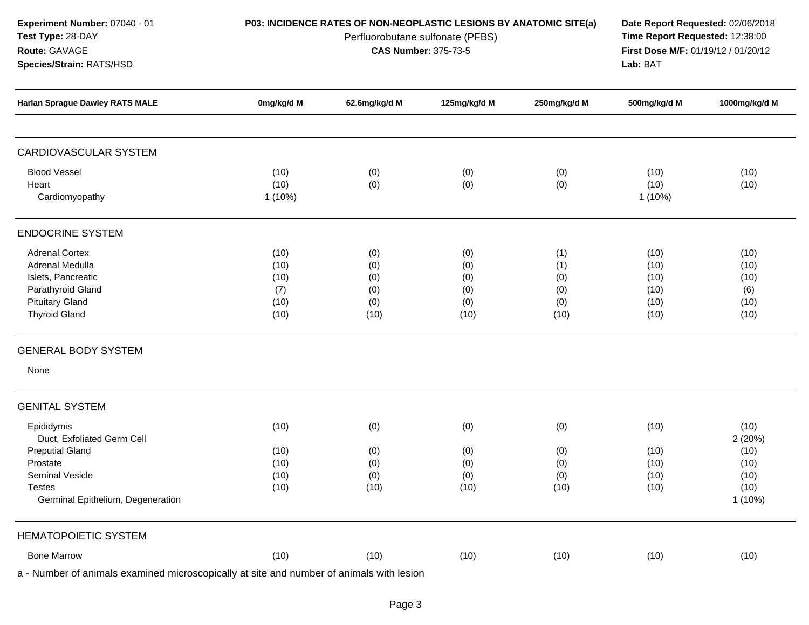| <b>Experiment Number: 07040 - 01</b> | P03: INCIDENCE RATES OF NON-NEOPLASTIC LESIONS BY ANATOMIC SITE(a) | Date Report Requested: 02/06/2018          |
|--------------------------------------|--------------------------------------------------------------------|--------------------------------------------|
| <b>Test Type: 28-DAY</b>             | Perfluorobutane sulfonate (PFBS)                                   | <b>Time Report Requested: 12:38:00</b>     |
| <b>Route: GAVAGE</b>                 | <b>CAS Number: 375-73-5</b>                                        | <b>First Dose M/F: 01/19/12 / 01/20/12</b> |
| <b>Species/Strain: RATS/HSD</b>      |                                                                    | Lab: BAT                                   |

| <b>Harlan Sprague Dawley RATS MALE</b> | 0mg/kg/d M   | 62.6mg/kg/d M | 125mg/kg/d M | 250mg/kg/d M | 500mg/kg/d M | 1000mg/kg/d M |
|----------------------------------------|--------------|---------------|--------------|--------------|--------------|---------------|
| <b>CARDIOVASCULAR SYSTEM</b>           |              |               |              |              |              |               |
| <b>Blood Vessel</b>                    |              |               |              |              |              |               |
| Heart                                  | (10)<br>(10) | (0)<br>(0)    | (0)<br>(0)   | (0)<br>(0)   | (10)<br>(10) | (10)<br>(10)  |
| Cardiomyopathy                         | $1(10\%)$    |               |              |              | $1(10\%)$    |               |
|                                        |              |               |              |              |              |               |
| <b>ENDOCRINE SYSTEM</b>                |              |               |              |              |              |               |
| <b>Adrenal Cortex</b>                  | (10)         | (0)           | (0)          | (1)          | (10)         | (10)          |
| Adrenal Medulla                        | (10)         | (0)           | (0)          | (1)          | (10)         | (10)          |
| Islets, Pancreatic                     | (10)         | (0)           | (0)          | (0)          | (10)         | (10)          |
| Parathyroid Gland                      | (7)          | (0)           | (0)          | (0)          | (10)         | (6)           |
| <b>Pituitary Gland</b>                 | (10)         | (0)           | (0)          | (0)          | (10)         | (10)          |
| <b>Thyroid Gland</b>                   | (10)         | (10)          | (10)         | (10)         | (10)         | (10)          |
| <b>GENERAL BODY SYSTEM</b>             |              |               |              |              |              |               |
| None                                   |              |               |              |              |              |               |
| <b>GENITAL SYSTEM</b>                  |              |               |              |              |              |               |
| Epididymis                             | (10)         | (0)           | (0)          | (0)          | (10)         | (10)          |
| Duct, Exfoliated Germ Cell             |              |               |              |              |              | 2(20%)        |
| <b>Preputial Gland</b>                 | (10)         | (0)           | (0)          | (0)          | (10)         | (10)          |
| Prostate                               | (10)         | (0)           | (0)          | (0)          | (10)         | (10)          |
| Seminal Vesicle                        | (10)         | (0)           | (0)          | (0)          | (10)         | (10)          |
| <b>Testes</b>                          | (10)         | (10)          | (10)         | (10)         | (10)         | (10)          |
| Germinal Epithelium, Degeneration      |              |               |              |              |              | $1(10\%)$     |
|                                        |              |               |              |              |              |               |
| <b>HEMATOPOIETIC SYSTEM</b>            |              |               |              |              |              |               |
| <b>Bone Marrow</b>                     | (10)         | (10)          | (10)         | (10)         | (10)         | (10)          |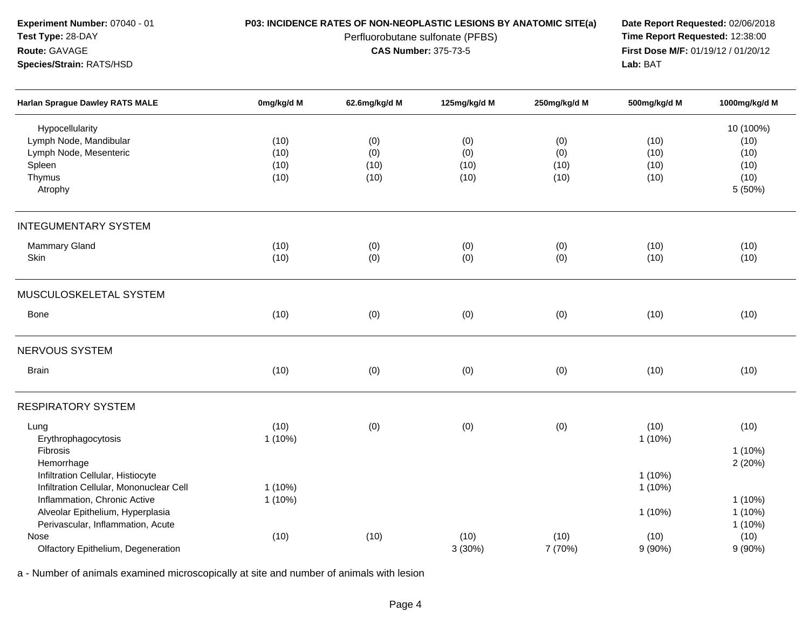**Experiment Number:** 07040 - 01**Test Type:** 28-DAY**Route:** GAVAGE

## **Species/Strain:** RATS/HSD

Perfluorobutane sulfonate (PFBS)<br>**CAS Number:** 375-73-5

**P03: INCIDENCE RATES OF NON-NEOPLASTIC LESIONS BY ANATOMIC SITE(a) Date Report Requested: 02/06/2018**<br>Perfluorobutane sulfonate (PFBS) **Time Report Requested: 12:38:00 First Dose M/F:** 01/19/12 / 01/20/12<br>**Lab:** BAT **Lab:** BAT

| <b>Harlan Sprague Dawley RATS MALE</b>                                                                | 0mg/kg/d M           | 62.6mg/kg/d M      | 125mg/kg/d M       | 250mg/kg/d M       | 500mg/kg/d M         | 1000mg/kg/d M                     |
|-------------------------------------------------------------------------------------------------------|----------------------|--------------------|--------------------|--------------------|----------------------|-----------------------------------|
| Hypocellularity<br>Lymph Node, Mandibular<br>Lymph Node, Mesenteric<br>Spleen                         | (10)<br>(10)<br>(10) | (0)<br>(0)<br>(10) | (0)<br>(0)<br>(10) | (0)<br>(0)<br>(10) | (10)<br>(10)<br>(10) | 10 (100%)<br>(10)<br>(10)<br>(10) |
| Thymus<br>Atrophy                                                                                     | (10)                 | (10)               | (10)               | (10)               | (10)                 | (10)<br>5 (50%)                   |
| <b>INTEGUMENTARY SYSTEM</b>                                                                           |                      |                    |                    |                    |                      |                                   |
| Mammary Gland<br>Skin                                                                                 | (10)<br>(10)         | (0)<br>(0)         | (0)<br>(0)         | (0)<br>(0)         | (10)<br>(10)         | (10)<br>(10)                      |
| MUSCULOSKELETAL SYSTEM                                                                                |                      |                    |                    |                    |                      |                                   |
| Bone                                                                                                  | (10)                 | (0)                | (0)                | (0)                | (10)                 | (10)                              |
| NERVOUS SYSTEM                                                                                        |                      |                    |                    |                    |                      |                                   |
| <b>Brain</b>                                                                                          | (10)                 | (0)                | (0)                | (0)                | (10)                 | (10)                              |
| <b>RESPIRATORY SYSTEM</b>                                                                             |                      |                    |                    |                    |                      |                                   |
| Lung<br>Erythrophagocytosis<br>Fibrosis<br>Hemorrhage                                                 | (10)<br>$1(10\%)$    | (0)                | (0)                | (0)                | (10)<br>$1(10\%)$    | (10)<br>$1(10\%)$<br>2(20%)       |
| Infiltration Cellular, Histiocyte<br>Infiltration Cellular, Mononuclear Cell                          | 1(10%)               |                    |                    |                    | $1(10\%)$<br>1(10%)  |                                   |
| Inflammation, Chronic Active<br>Alveolar Epithelium, Hyperplasia<br>Perivascular, Inflammation, Acute | 1(10%)               |                    |                    |                    | $1(10\%)$            | $1(10\%)$<br>$1(10\%)$<br>1 (10%) |
| Nose<br>Olfactory Epithelium, Degeneration                                                            | (10)                 | (10)               | (10)<br>3(30%)     | (10)<br>7 (70%)    | (10)<br>9(90%)       | (10)<br>$9(90\%)$                 |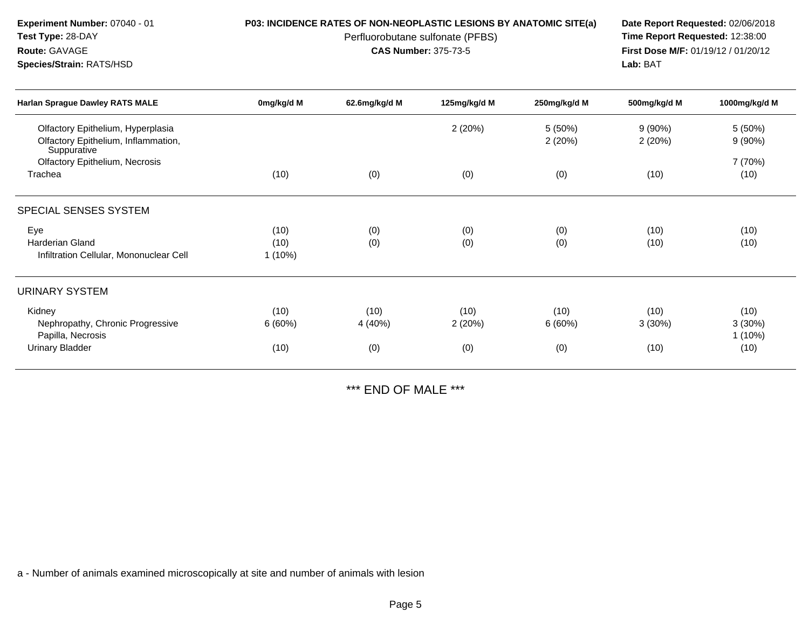| <b>Experiment Number: 07040 - 01</b><br>Test Type: 28-DAY<br>Route: GAVAGE<br>Species/Strain: RATS/HSD |                           | P03: INCIDENCE RATES OF NON-NEOPLASTIC LESIONS BY ANATOMIC SITE(a)<br>Perfluorobutane sulfonate (PFBS)<br><b>CAS Number: 375-73-5</b> | Date Report Requested: 02/06/2018<br>Time Report Requested: 12:38:00<br>First Dose M/F: 01/19/12 / 01/20/12<br>Lab: BAT |                       |                        |                                     |
|--------------------------------------------------------------------------------------------------------|---------------------------|---------------------------------------------------------------------------------------------------------------------------------------|-------------------------------------------------------------------------------------------------------------------------|-----------------------|------------------------|-------------------------------------|
| <b>Harlan Sprague Dawley RATS MALE</b>                                                                 | 0mg/kg/d M                | 62.6mg/kg/d M                                                                                                                         | 125mg/kg/d M                                                                                                            | 250mg/kg/d M          | 500mg/kg/d M           | 1000mg/kg/d M                       |
| Olfactory Epithelium, Hyperplasia<br>Olfactory Epithelium, Inflammation,<br>Suppurative                |                           |                                                                                                                                       | 2(20%)                                                                                                                  | 5(50%)<br>2(20%)      | $9(90\%)$<br>2(20%)    | $5(50\%)$<br>$9(90\%)$              |
| Olfactory Epithelium, Necrosis<br>Trachea                                                              | (10)                      | (0)                                                                                                                                   | (0)                                                                                                                     | (0)                   | (10)                   | 7 (70%)<br>(10)                     |
| SPECIAL SENSES SYSTEM                                                                                  |                           |                                                                                                                                       |                                                                                                                         |                       |                        |                                     |
| Eye<br><b>Harderian Gland</b><br>Infiltration Cellular, Mononuclear Cell                               | (10)<br>(10)<br>$1(10\%)$ | (0)<br>(0)                                                                                                                            | (0)<br>(0)                                                                                                              | (0)<br>(0)            | (10)<br>(10)           | (10)<br>(10)                        |
| URINARY SYSTEM                                                                                         |                           |                                                                                                                                       |                                                                                                                         |                       |                        |                                     |
| Kidney<br>Nephropathy, Chronic Progressive<br>Papilla, Necrosis<br><b>Urinary Bladder</b>              | (10)<br>6(60%)<br>(10)    | (10)<br>4 (40%)<br>(0)                                                                                                                | (10)<br>2(20%)<br>(0)                                                                                                   | (10)<br>6(60%)<br>(0) | (10)<br>3(30%)<br>(10) | (10)<br>3(30%)<br>$1(10\%)$<br>(10) |

\*\*\* END OF MALE \*\*\*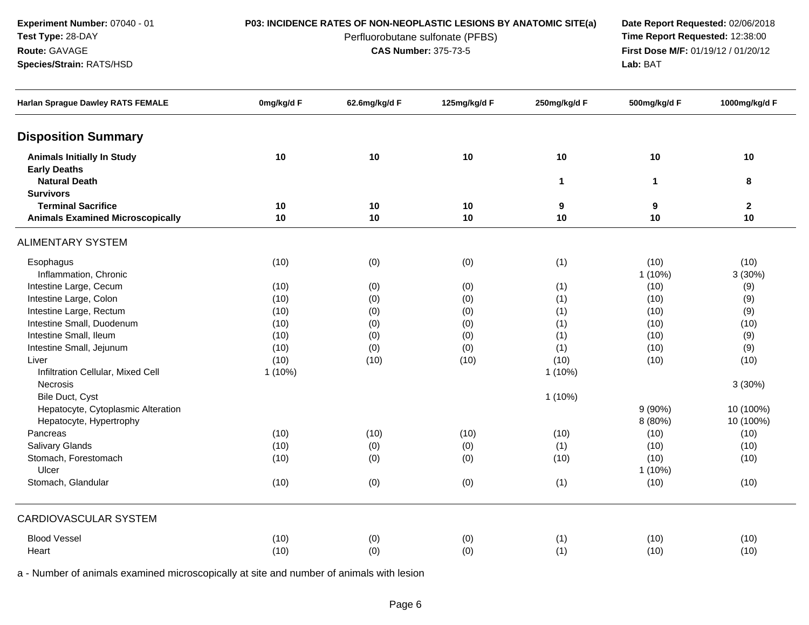**Experiment Number:** 07040 - 01**Test Type:** 28-DAY

## **Route:** GAVAGE

**Species/Strain:** RATS/HSD

# **P03: INCIDENCE RATES OF NON-NEOPLASTIC LESIONS BY ANATOMIC SITE(a) Date Report Requested: 02/06/2018**<br>Perfluorobutane sulfonate (PFBS) **Time Report Requested: 12:38:00**

# Perfluorobutane sulfonate (PFBS)<br>**CAS Number:** 375-73-5

**First Dose M/F:** 01/19/12 / 01/20/12<br>**Lab:** BAT **Lab:** BAT

| Harlan Sprague Dawley RATS FEMALE       | 0mg/kg/d F | 62.6mg/kg/d F | 125mg/kg/d F | 250mg/kg/d F | 500mg/kg/d F | 1000mg/kg/d F |
|-----------------------------------------|------------|---------------|--------------|--------------|--------------|---------------|
| <b>Disposition Summary</b>              |            |               |              |              |              |               |
| <b>Animals Initially In Study</b>       | 10         | 10            | 10           | $10$         | $10$         | 10            |
| <b>Early Deaths</b>                     |            |               |              |              |              |               |
| <b>Natural Death</b>                    |            |               |              | $\mathbf{1}$ | $\mathbf{1}$ | 8             |
| <b>Survivors</b>                        |            |               |              |              |              |               |
| <b>Terminal Sacrifice</b>               | 10         | 10            | 10           | 9            | 9            | $\mathbf 2$   |
| <b>Animals Examined Microscopically</b> | 10         | 10            | 10           | 10           | 10           | 10            |
| <b>ALIMENTARY SYSTEM</b>                |            |               |              |              |              |               |
| Esophagus                               | (10)       | (0)           | (0)          | (1)          | (10)         | (10)          |
| Inflammation, Chronic                   |            |               |              |              | $1(10\%)$    | 3(30%)        |
| Intestine Large, Cecum                  | (10)       | (0)           | (0)          | (1)          | (10)         | (9)           |
| Intestine Large, Colon                  | (10)       | (0)           | (0)          | (1)          | (10)         | (9)           |
| Intestine Large, Rectum                 | (10)       | (0)           | (0)          | (1)          | (10)         | (9)           |
| Intestine Small, Duodenum               | (10)       | (0)           | (0)          | (1)          | (10)         | (10)          |
| Intestine Small, Ileum                  | (10)       | (0)           | (0)          | (1)          | (10)         | (9)           |
| Intestine Small, Jejunum                | (10)       | (0)           | (0)          | (1)          | (10)         | (9)           |
| Liver                                   | (10)       | (10)          | (10)         | (10)         | (10)         | (10)          |
| Infiltration Cellular, Mixed Cell       | $1(10\%)$  |               |              | $1(10\%)$    |              |               |
| Necrosis                                |            |               |              |              |              | 3(30%)        |
| Bile Duct, Cyst                         |            |               |              | $1(10\%)$    |              |               |
| Hepatocyte, Cytoplasmic Alteration      |            |               |              |              | $9(90\%)$    | 10 (100%)     |
| Hepatocyte, Hypertrophy                 |            |               |              |              | 8 (80%)      | 10 (100%)     |
| Pancreas                                | (10)       | (10)          | (10)         | (10)         | (10)         | (10)          |
| <b>Salivary Glands</b>                  | (10)       | (0)           | (0)          | (1)          | (10)         | (10)          |
| Stomach, Forestomach                    | (10)       | (0)           | (0)          | (10)         | (10)         | (10)          |
| Ulcer                                   |            |               |              |              | $1(10\%)$    |               |
| Stomach, Glandular                      | (10)       | (0)           | (0)          | (1)          | (10)         | (10)          |
| <b>CARDIOVASCULAR SYSTEM</b>            |            |               |              |              |              |               |
| <b>Blood Vessel</b>                     | (10)       | (0)           | (0)          | (1)          | (10)         | (10)          |
| Heart                                   | (10)       | (0)           | (0)          | (1)          | (10)         | (10)          |
|                                         |            |               |              |              |              |               |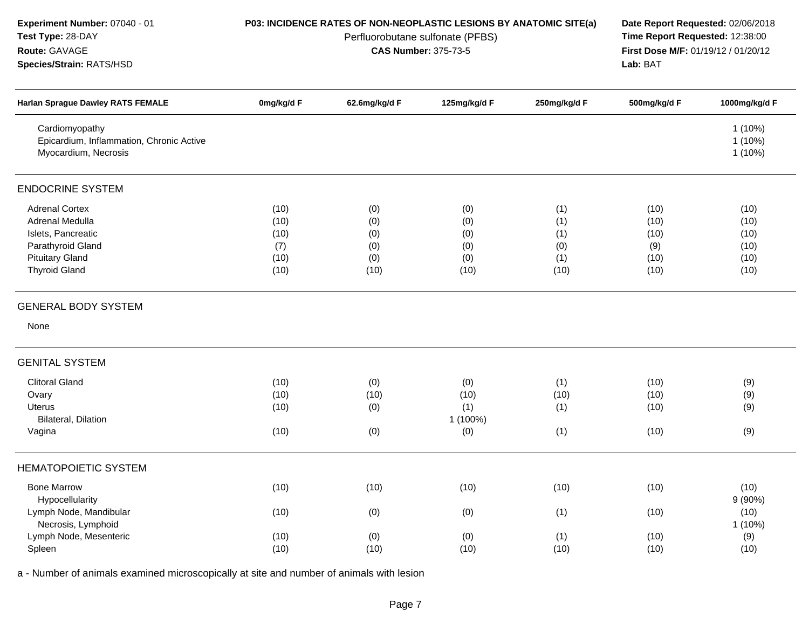| Experiment Number: 07040 - 01<br>Test Type: 28-DAY                                                                                    |                                             | P03: INCIDENCE RATES OF NON-NEOPLASTIC LESIONS BY ANATOMIC SITE(a)<br>Perfluorobutane sulfonate (PFBS) | Date Report Requested: 02/06/2018<br>Time Report Requested: 12:38:00 |                                         |                                             |                                              |
|---------------------------------------------------------------------------------------------------------------------------------------|---------------------------------------------|--------------------------------------------------------------------------------------------------------|----------------------------------------------------------------------|-----------------------------------------|---------------------------------------------|----------------------------------------------|
| Route: GAVAGE<br>Species/Strain: RATS/HSD                                                                                             |                                             | <b>CAS Number: 375-73-5</b>                                                                            | First Dose M/F: 01/19/12 / 01/20/12<br>Lab: BAT                      |                                         |                                             |                                              |
| <b>Harlan Sprague Dawley RATS FEMALE</b>                                                                                              | 0mg/kg/d F                                  | 62.6mg/kg/d F                                                                                          | 125mg/kg/d F                                                         | 250mg/kg/d F                            | 500mg/kg/d F                                | 1000mg/kg/d F                                |
| Cardiomyopathy<br>Epicardium, Inflammation, Chronic Active<br>Myocardium, Necrosis                                                    |                                             |                                                                                                        |                                                                      |                                         |                                             | $1(10\%)$<br>$1(10\%)$<br>$1(10\%)$          |
| <b>ENDOCRINE SYSTEM</b>                                                                                                               |                                             |                                                                                                        |                                                                      |                                         |                                             |                                              |
| <b>Adrenal Cortex</b><br>Adrenal Medulla<br>Islets, Pancreatic<br>Parathyroid Gland<br><b>Pituitary Gland</b><br><b>Thyroid Gland</b> | (10)<br>(10)<br>(10)<br>(7)<br>(10)<br>(10) | (0)<br>(0)<br>(0)<br>(0)<br>(0)<br>(10)                                                                | (0)<br>(0)<br>(0)<br>(0)<br>(0)<br>(10)                              | (1)<br>(1)<br>(1)<br>(0)<br>(1)<br>(10) | (10)<br>(10)<br>(10)<br>(9)<br>(10)<br>(10) | (10)<br>(10)<br>(10)<br>(10)<br>(10)<br>(10) |
| <b>GENERAL BODY SYSTEM</b>                                                                                                            |                                             |                                                                                                        |                                                                      |                                         |                                             |                                              |
| None                                                                                                                                  |                                             |                                                                                                        |                                                                      |                                         |                                             |                                              |
| <b>GENITAL SYSTEM</b>                                                                                                                 |                                             |                                                                                                        |                                                                      |                                         |                                             |                                              |
| <b>Clitoral Gland</b>                                                                                                                 | (10)                                        | (0)                                                                                                    | (0)                                                                  | (1)                                     | (10)                                        | (9)                                          |
| Ovary                                                                                                                                 | (10)                                        | (10)                                                                                                   | (10)                                                                 | (10)                                    | (10)                                        | (9)                                          |
| Uterus                                                                                                                                | (10)                                        | (0)                                                                                                    | (1)                                                                  | (1)                                     | (10)                                        | (9)                                          |
| Bilateral, Dilation                                                                                                                   |                                             |                                                                                                        | 1 (100%)                                                             |                                         |                                             |                                              |
| Vagina                                                                                                                                | (10)                                        | (0)                                                                                                    | (0)                                                                  | (1)                                     | (10)                                        | (9)                                          |
| <b>HEMATOPOIETIC SYSTEM</b>                                                                                                           |                                             |                                                                                                        |                                                                      |                                         |                                             |                                              |
| <b>Bone Marrow</b><br>Hypocellularity                                                                                                 | (10)                                        | (10)                                                                                                   | (10)                                                                 | (10)                                    | (10)                                        | (10)<br>9(90%)                               |
| Lymph Node, Mandibular<br>Necrosis, Lymphoid                                                                                          | (10)                                        | (0)                                                                                                    | (0)                                                                  | (1)                                     | (10)                                        | (10)<br>1 (10%)                              |
| Lymph Node, Mesenteric                                                                                                                | (10)                                        | (0)                                                                                                    | (0)                                                                  | (1)                                     | (10)                                        | (9)                                          |
| Spleen                                                                                                                                | (10)                                        | (10)                                                                                                   | (10)                                                                 | (10)                                    | (10)                                        | (10)                                         |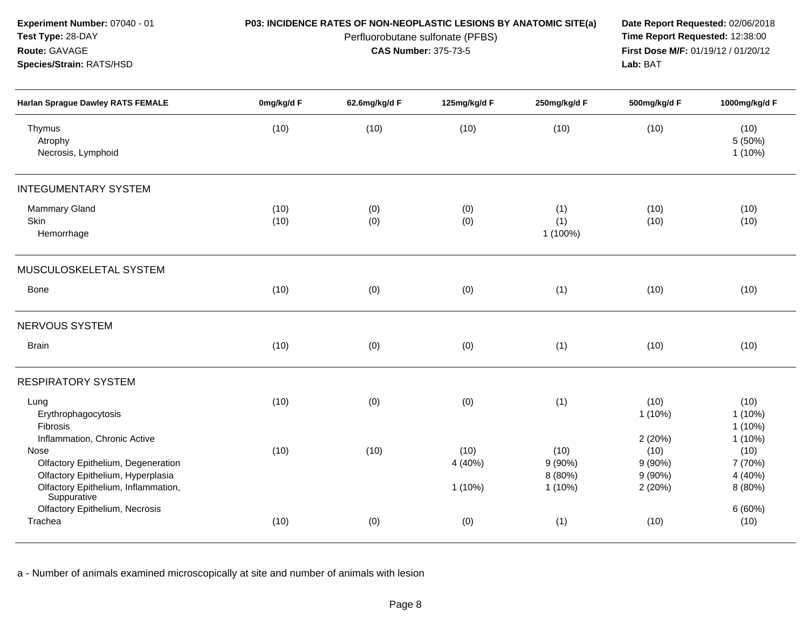| Experiment Number: 07040 - 01<br>Test Type: 28-DAY<br>Route: GAVAGE<br>Species/Strain: RATS/HSD                                                        | P03: INCIDENCE RATES OF NON-NEOPLASTIC LESIONS BY ANATOMIC SITE(a) | Date Report Requested: 02/06/2018<br>Time Report Requested: 12:38:00<br>First Dose M/F: 01/19/12 / 01/20/12<br>Lab: BAT |                              |                                           |                                                 |                                                    |
|--------------------------------------------------------------------------------------------------------------------------------------------------------|--------------------------------------------------------------------|-------------------------------------------------------------------------------------------------------------------------|------------------------------|-------------------------------------------|-------------------------------------------------|----------------------------------------------------|
| Harlan Sprague Dawley RATS FEMALE                                                                                                                      | 0mg/kg/d F                                                         | 62.6mg/kg/d F                                                                                                           | 125mg/kg/d F                 | 250mg/kg/d F                              | 500mg/kg/d F                                    | 1000mg/kg/d F                                      |
| Thymus<br>Atrophy<br>Necrosis, Lymphoid                                                                                                                | (10)                                                               | (10)                                                                                                                    | (10)                         | (10)                                      | (10)                                            | (10)<br>5(50%)<br>$1(10\%)$                        |
| <b>INTEGUMENTARY SYSTEM</b>                                                                                                                            |                                                                    |                                                                                                                         |                              |                                           |                                                 |                                                    |
| <b>Mammary Gland</b><br>Skin<br>Hemorrhage                                                                                                             | (10)<br>(10)                                                       | (0)<br>(0)                                                                                                              | (0)<br>(0)                   | (1)<br>(1)<br>1 (100%)                    | (10)<br>(10)                                    | (10)<br>(10)                                       |
| MUSCULOSKELETAL SYSTEM                                                                                                                                 |                                                                    |                                                                                                                         |                              |                                           |                                                 |                                                    |
| <b>Bone</b>                                                                                                                                            | (10)                                                               | (0)                                                                                                                     | (0)                          | (1)                                       | (10)                                            | (10)                                               |
| <b>NERVOUS SYSTEM</b>                                                                                                                                  |                                                                    |                                                                                                                         |                              |                                           |                                                 |                                                    |
| <b>Brain</b>                                                                                                                                           | (10)                                                               | (0)                                                                                                                     | (0)                          | (1)                                       | (10)                                            | (10)                                               |
| <b>RESPIRATORY SYSTEM</b>                                                                                                                              |                                                                    |                                                                                                                         |                              |                                           |                                                 |                                                    |
| Lung<br>Erythrophagocytosis<br>Fibrosis                                                                                                                | (10)                                                               | (0)                                                                                                                     | (0)                          | (1)                                       | (10)<br>$1(10\%)$                               | (10)<br>$1(10\%)$<br>$1(10\%)$                     |
| Inflammation, Chronic Active<br>Nose<br>Olfactory Epithelium, Degeneration<br>Olfactory Epithelium, Hyperplasia<br>Olfactory Epithelium, Inflammation, | (10)                                                               | (10)                                                                                                                    | (10)<br>4 (40%)<br>$1(10\%)$ | (10)<br>$9(90\%)$<br>8 (80%)<br>$1(10\%)$ | 2(20%)<br>(10)<br>9(90%)<br>$9(90\%)$<br>2(20%) | $1(10\%)$<br>(10)<br>7 (70%)<br>4 (40%)<br>8 (80%) |
| Suppurative<br><b>Olfactory Epithelium, Necrosis</b><br>Trachea                                                                                        | (10)                                                               | (0)                                                                                                                     | (0)                          | (1)                                       | (10)                                            | 6(60%)<br>(10)                                     |